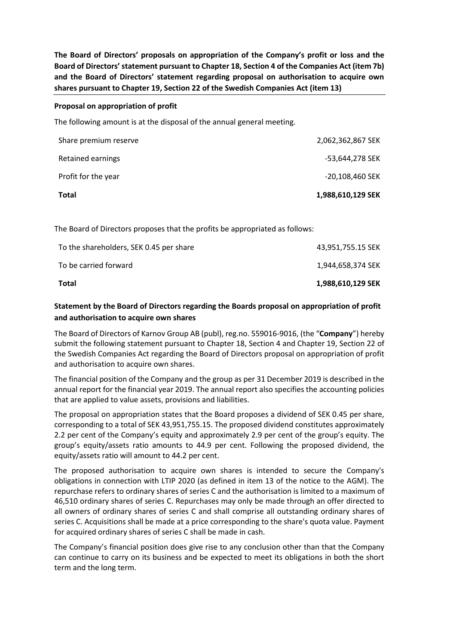**The Board of Directors' proposals on appropriation of the Company's profit or loss and the Board of Directors'statement pursuant to Chapter 18, Section 4 of the Companies Act (item 7b) and the Board of Directors' statement regarding proposal on authorisation to acquire own shares pursuant to Chapter 19, Section 22 of the Swedish Companies Act (item 13)**

## **Proposal on appropriation of profit**

The following amount is at the disposal of the annual general meeting.

| <b>Total</b>          | 1,988,610,129 SEK |
|-----------------------|-------------------|
| Profit for the year   | -20,108,460 SEK   |
| Retained earnings     | -53,644,278 SEK   |
| Share premium reserve | 2,062,362,867 SEK |

The Board of Directors proposes that the profits be appropriated as follows:

| Total                                   | 1,988,610,129 SEK |
|-----------------------------------------|-------------------|
| To be carried forward                   | 1.944.658.374 SEK |
| To the shareholders, SEK 0.45 per share | 43,951,755.15 SEK |

## **Statement by the Board of Directors regarding the Boards proposal on appropriation of profit and authorisation to acquire own shares**

The Board of Directors of Karnov Group AB (publ), reg.no. 559016-9016, (the "**Company**") hereby submit the following statement pursuant to Chapter 18, Section 4 and Chapter 19, Section 22 of the Swedish Companies Act regarding the Board of Directors proposal on appropriation of profit and authorisation to acquire own shares.

The financial position of the Company and the group as per 31 December 2019 is described in the annual report for the financial year 2019. The annual report also specifies the accounting policies that are applied to value assets, provisions and liabilities.

The proposal on appropriation states that the Board proposes a dividend of SEK 0.45 per share, corresponding to a total of SEK 43,951,755.15. The proposed dividend constitutes approximately 2.2 per cent of the Company's equity and approximately 2.9 per cent of the group's equity. The group's equity/assets ratio amounts to 44.9 per cent. Following the proposed dividend, the equity/assets ratio will amount to 44.2 per cent.

The proposed authorisation to acquire own shares is intended to secure the Company's obligations in connection with LTIP 2020 (as defined in item 13 of the notice to the AGM). The repurchase refers to ordinary shares of series C and the authorisation is limited to a maximum of 46,510 ordinary shares of series C. Repurchases may only be made through an offer directed to all owners of ordinary shares of series C and shall comprise all outstanding ordinary shares of series C. Acquisitions shall be made at a price corresponding to the share's quota value. Payment for acquired ordinary shares of series C shall be made in cash.

The Company's financial position does give rise to any conclusion other than that the Company can continue to carry on its business and be expected to meet its obligations in both the short term and the long term.